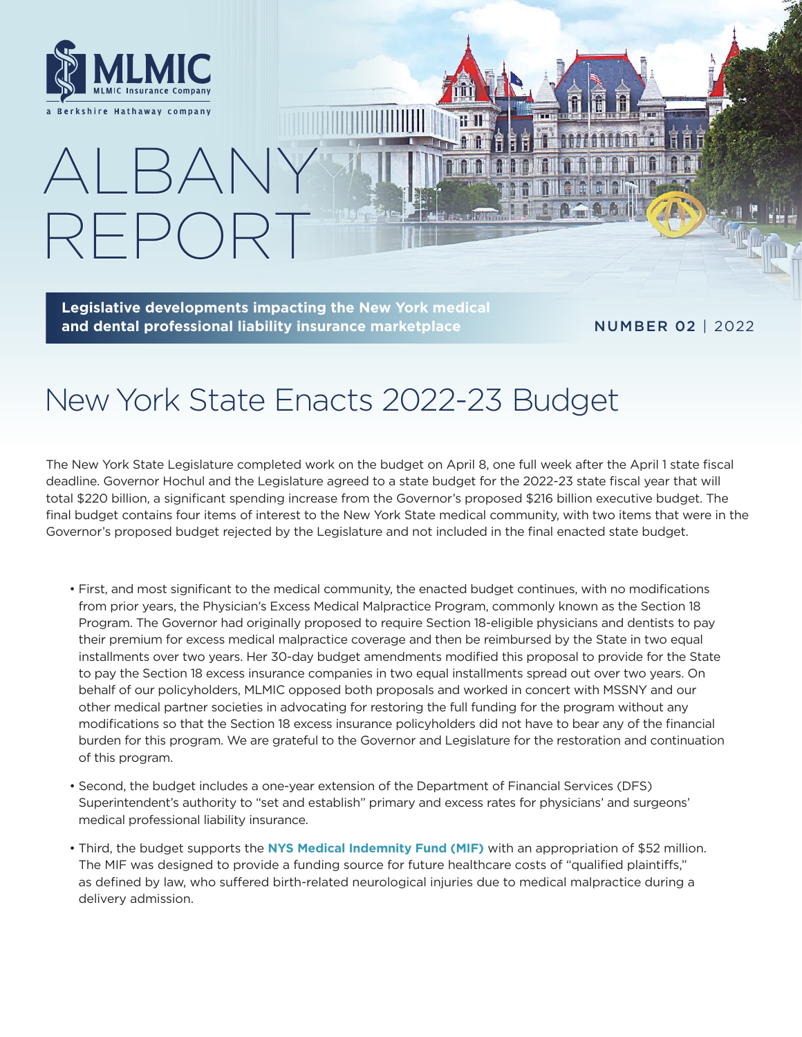

 $RFF( )$ 

ALBANY

**Legislative developments impacting the New York medical and dental professional liability insurance marketplace**

### NUMBER 02 | 2022

# New York State Enacts 2022-23 Budget

The New York State Legislature completed work on the budget on April 8, one full week after the April 1 state fiscal deadline. Governor Hochul and the Legislature agreed to a state budget for the 2022-23 state fiscal year that will total \$220 billion, a significant spending increase from the Governor's proposed \$216 billion executive budget. The final budget contains four items of interest to the New York State medical community, with two items that were in the Governor's proposed budget rejected by the Legislature and not included in the final enacted state budget.

- First, and most significant to the medical community, the enacted budget continues, with no modifications from prior years, the Physician's Excess Medical Malpractice Program, commonly known as the Section 18 Program. The Governor had originally proposed to require Section 18-eligible physicians and dentists to pay their premium for excess medical malpractice coverage and then be reimbursed by the State in two equal installments over two years. Her 30-day budget amendments modified this proposal to provide for the State to pay the Section 18 excess insurance companies in two equal installments spread out over two years. On behalf of our policyholders, MLMIC opposed both proposals and worked in concert with MSSNY and our other medical partner societies in advocating for restoring the full funding for the program without any modifications so that the Section 18 excess insurance policyholders did not have to bear any of the financial burden for this program. We are grateful to the Governor and Legislature for the restoration and continuation of this program.
- Second, the budget includes a one-year extension of the Department of Financial Services (DFS) Superintendent's authority to "set and establish" primary and excess rates for physicians' and surgeons' medical professional liability insurance.
- Third, the budget supports the **[NYS Medical Indemnity Fund \(MIF\)](https://www.health.ny.gov/regulations/medical_indemnity_fund/)** with an appropriation of \$52 million. The MIF was designed to provide a funding source for future healthcare costs of "qualified plaintiffs," as defined by law, who suffered birth-related neurological injuries due to medical malpractice during a delivery admission.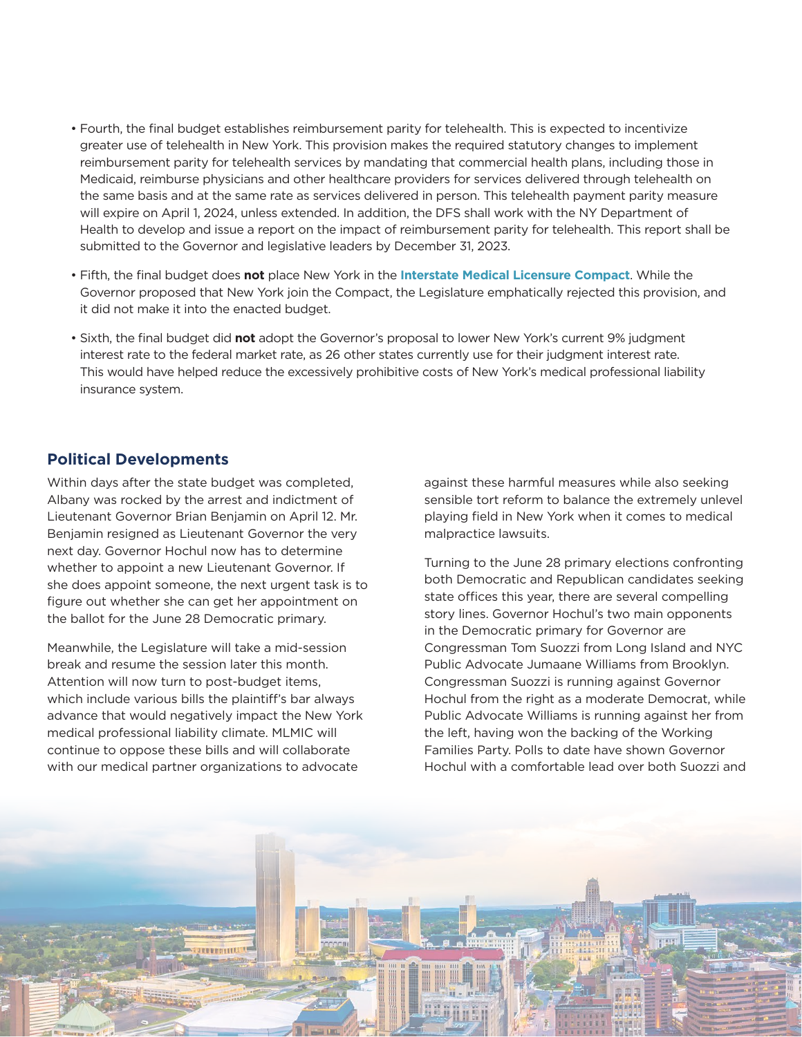- Fourth, the final budget establishes reimbursement parity for telehealth. This is expected to incentivize greater use of telehealth in New York. This provision makes the required statutory changes to implement reimbursement parity for telehealth services by mandating that commercial health plans, including those in Medicaid, reimburse physicians and other healthcare providers for services delivered through telehealth on the same basis and at the same rate as services delivered in person. This telehealth payment parity measure will expire on April 1, 2024, unless extended. In addition, the DFS shall work with the NY Department of Health to develop and issue a report on the impact of reimbursement parity for telehealth. This report shall be submitted to the Governor and legislative leaders by December 31, 2023.
- Fifth, the final budget does **not** place New York in the **[Interstate Medical Licensure Compact](https://www.imlcc.org)**. While the Governor proposed that New York join the Compact, the Legislature emphatically rejected this provision, and it did not make it into the enacted budget.
- Sixth, the final budget did **not** adopt the Governor's proposal to lower New York's current 9% judgment interest rate to the federal market rate, as 26 other states currently use for their judgment interest rate. This would have helped reduce the excessively prohibitive costs of New York's medical professional liability insurance system.

## **Political Developments**

Within days after the state budget was completed, Albany was rocked by the arrest and indictment of Lieutenant Governor Brian Benjamin on April 12. Mr. Benjamin resigned as Lieutenant Governor the very next day. Governor Hochul now has to determine whether to appoint a new Lieutenant Governor. If she does appoint someone, the next urgent task is to figure out whether she can get her appointment on the ballot for the June 28 Democratic primary.

Meanwhile, the Legislature will take a mid-session break and resume the session later this month. Attention will now turn to post-budget items, which include various bills the plaintiff's bar always advance that would negatively impact the New York medical professional liability climate. MLMIC will continue to oppose these bills and will collaborate with our medical partner organizations to advocate

against these harmful measures while also seeking sensible tort reform to balance the extremely unlevel playing field in New York when it comes to medical malpractice lawsuits.

Turning to the June 28 primary elections confronting both Democratic and Republican candidates seeking state offices this year, there are several compelling story lines. Governor Hochul's two main opponents in the Democratic primary for Governor are Congressman Tom Suozzi from Long Island and NYC Public Advocate Jumaane Williams from Brooklyn. Congressman Suozzi is running against Governor Hochul from the right as a moderate Democrat, while Public Advocate Williams is running against her from the left, having won the backing of the Working Families Party. Polls to date have shown Governor Hochul with a comfortable lead over both Suozzi and